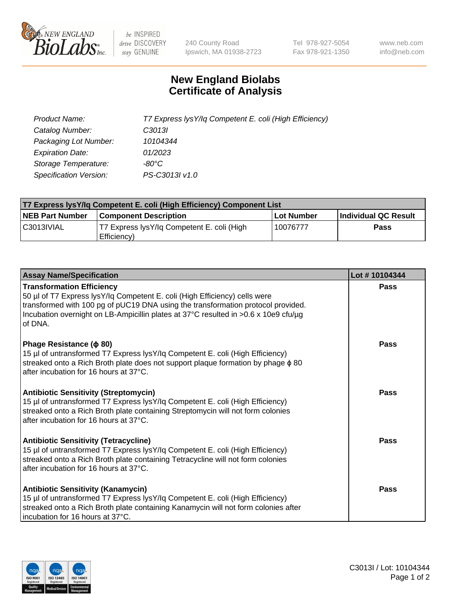

 $be$  INSPIRED drive DISCOVERY stay GENUINE

240 County Road Ipswich, MA 01938-2723 Tel 978-927-5054 Fax 978-921-1350 www.neb.com info@neb.com

## **New England Biolabs Certificate of Analysis**

| Product Name:                 | T7 Express lysY/lq Competent E. coli (High Efficiency) |
|-------------------------------|--------------------------------------------------------|
| Catalog Number:               | C3013I                                                 |
| Packaging Lot Number:         | 10104344                                               |
| <b>Expiration Date:</b>       | 01/2023                                                |
| Storage Temperature:          | $-80^{\circ}$ C                                        |
| <b>Specification Version:</b> | PS-C3013I v1.0                                         |

| T7 Express lysY/lq Competent E. coli (High Efficiency) Component List |                                                           |            |                      |  |
|-----------------------------------------------------------------------|-----------------------------------------------------------|------------|----------------------|--|
| <b>NEB Part Number</b>                                                | <b>Component Description</b>                              | Lot Number | Individual QC Result |  |
| C3013IVIAL                                                            | T7 Express lysY/lg Competent E. coli (High<br>Efficiency) | 10076777   | <b>Pass</b>          |  |

| <b>Assay Name/Specification</b>                                                                                                                                                                                                                                                                      | Lot #10104344 |
|------------------------------------------------------------------------------------------------------------------------------------------------------------------------------------------------------------------------------------------------------------------------------------------------------|---------------|
| <b>Transformation Efficiency</b><br>50 µl of T7 Express lysY/lq Competent E. coli (High Efficiency) cells were<br>transformed with 100 pg of pUC19 DNA using the transformation protocol provided.<br>Incubation overnight on LB-Ampicillin plates at 37°C resulted in >0.6 x 10e9 cfu/µg<br>of DNA. | Pass          |
| Phage Resistance ( $\phi$ 80)<br>15 µl of untransformed T7 Express lysY/lq Competent E. coli (High Efficiency)<br>streaked onto a Rich Broth plate does not support plaque formation by phage $\phi$ 80<br>after incubation for 16 hours at 37°C.                                                    | <b>Pass</b>   |
| <b>Antibiotic Sensitivity (Streptomycin)</b><br>15 µl of untransformed T7 Express lysY/lq Competent E. coli (High Efficiency)<br>streaked onto a Rich Broth plate containing Streptomycin will not form colonies<br>after incubation for 16 hours at 37°C.                                           | Pass          |
| <b>Antibiotic Sensitivity (Tetracycline)</b><br>15 µl of untransformed T7 Express lysY/lq Competent E. coli (High Efficiency)<br>streaked onto a Rich Broth plate containing Tetracycline will not form colonies<br>after incubation for 16 hours at 37°C.                                           | <b>Pass</b>   |
| <b>Antibiotic Sensitivity (Kanamycin)</b><br>15 µl of untransformed T7 Express lysY/lq Competent E. coli (High Efficiency)<br>streaked onto a Rich Broth plate containing Kanamycin will not form colonies after<br>incubation for 16 hours at 37°C.                                                 | Pass          |